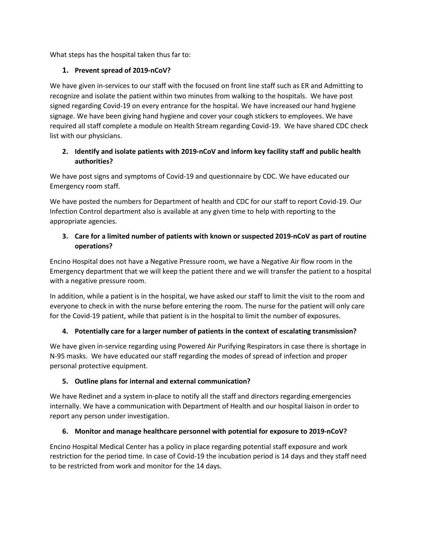What steps has the hospital taken thus far to:

# **1. Prevent spread of 2019-nCoV?**

We have given in-services to our staff with the focused on front line staff such as ER and Admitting to recognize and isolate the patient within two minutes from walking to the hospitals. We have post signed regarding Covid-19 on every entrance for the hospital. We have increased our hand hygiene signage. We have been giving hand hygiene and cover your cough stickers to employees. We have required all staff complete a module on Health Stream regarding Covid-19. We have shared CDC check list with our physicians.

# **2. Identify and isolate patients with 2019-nCoV and inform key facility staff and public health authorities?**

We have post signs and symptoms of Covid-19 and questionnaire by CDC. We have educated our Emergency room staff.

We have posted the numbers for Department of health and CDC for our staff to report Covid-19. Our Infection Control department also is available at any given time to help with reporting to the appropriate agencies.

# **3. Care for a limited number of patients with known or suspected 2019-nCoV as part of routine operations?**

Encino Hospital does not have a Negative Pressure room, we have a Negative Air flow room in the Emergency department that we will keep the patient there and we will transfer the patient to a hospital with a negative pressure room.

In addition, while a patient is in the hospital, we have asked our staff to limit the visit to the room and everyone to check in with the nurse before entering the room. The nurse for the patient will only care for the Covid-19 patient, while that patient is in the hospital to limit the number of exposures.

# **4. Potentially care for a larger number of patients in the context of escalating transmission?**

We have given in-service regarding using Powered Air Purifying Respirators in case there is shortage in N-95 masks. We have educated our staff regarding the modes of spread of infection and proper personal protective equipment.

# **5. Outline plans for internal and external communication?**

We have Redinet and a system in-place to notify all the staff and directors regarding emergencies internally. We have a communication with Department of Health and our hospital liaison in order to report any person under investigation.

# **6. Monitor and manage healthcare personnel with potential for exposure to 2019-nCoV?**

Encino Hospital Medical Center has a policy in place regarding potential staff exposure and work restriction for the period time. In case of Covid-19 the incubation period is 14 days and they staff need to be restricted from work and monitor for the 14 days.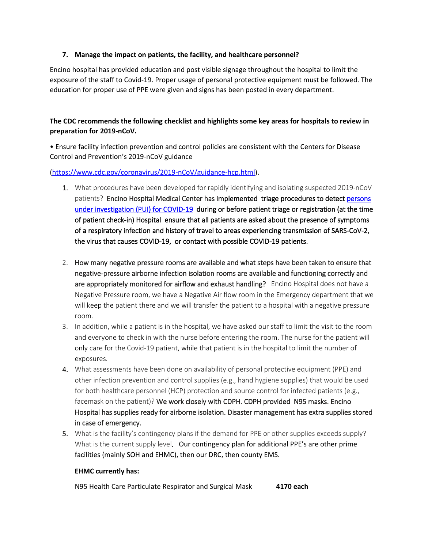### **7. Manage the impact on patients, the facility, and healthcare personnel?**

Encino hospital has provided education and post visible signage throughout the hospital to limit the exposure of the staff to Covid-19. Proper usage of personal protective equipment must be followed. The education for proper use of PPE were given and signs has been posted in every department.

## **The CDC recommends the following checklist and highlights some key areas for hospitals to review in preparation for 2019-nCoV.**

• Ensure facility infection prevention and control policies are consistent with the Centers for Disease Control and Prevention's 2019-nCoV guidance

#### [\(https://www.cdc.gov/coronavirus/2019-nCoV/guidance-hcp.html\)](https://www.cdc.gov/coronavirus/2019-nCoV/guidance-hcp.html).

- 1. What procedures have been developed for rapidly identifying and isolating suspected 2019-nCoV patients? Encino Hospital Medical Center has implemented triage procedures to detect persons [under investigation \(PUI\) for COVID-19](https://www.cdc.gov/coronavirus/2019-nCoV/clinical-criteria.html) during or before patient triage or registration (at the time of patient check-in) Hospital ensure that all patients are asked about the presence of symptoms of a respiratory infection and history of travel to areas experiencing transmission of SARS-CoV-2, the virus that causes COVID-19, or contact with possible COVID-19 patients.
- 2. How many negative pressure rooms are available and what steps have been taken to ensure that negative-pressure airborne infection isolation rooms are available and functioning correctly and are appropriately monitored for airflow and exhaust handling? Encino Hospital does not have a Negative Pressure room, we have a Negative Air flow room in the Emergency department that we will keep the patient there and we will transfer the patient to a hospital with a negative pressure room.
- 3. In addition, while a patient is in the hospital, we have asked our staff to limit the visit to the room and everyone to check in with the nurse before entering the room. The nurse for the patient will only care for the Covid-19 patient, while that patient is in the hospital to limit the number of exposures.
- 4. What assessments have been done on availability of personal protective equipment (PPE) and other infection prevention and control supplies (e.g., hand hygiene supplies) that would be used for both healthcare personnel (HCP) protection and source control for infected patients (e.g., facemask on the patient)? We work closely with CDPH. CDPH provided N95 masks. Encino Hospital has supplies ready for airborne isolation. Disaster management has extra supplies stored in case of emergency.
- 5. What is the facility's contingency plans if the demand for PPE or other supplies exceeds supply? What is the current supply level. Our contingency plan for additional PPE's are other prime facilities (mainly SOH and EHMC), then our DRC, then county EMS.

#### **EHMC currently has:**

N95 Health Care Particulate Respirator and Surgical Mask **4170 each**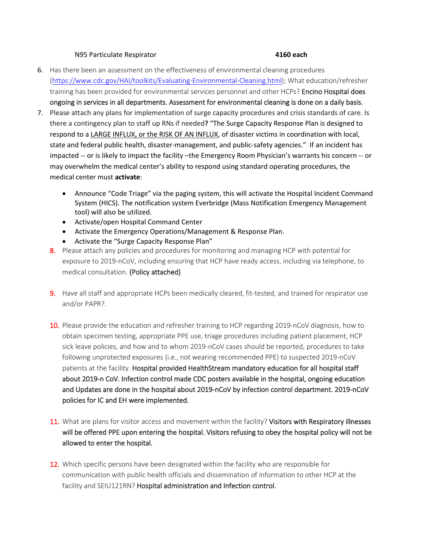#### N95 Particulate Respirator **4160 each**

- 6. Has there been an assessment on the effectiveness of environmental cleaning procedures [\(https://www.cdc.gov/HAI/toolkits/Evaluating-Environmental-Cleaning.html\)](https://urldefense.proofpoint.com/v2/url?u=https-3A__www.cdc.gov_HAI_toolkits_Evaluating-2DEnvironmental-2DCleaning.html&d=DwMGaQ&c=uJDInsUI975ObH1pw6atlCu6k9_P2kimr_XZeMjqt08&r=nY19CYxrmqm8PSc8xhx-4i7s-X-OHYFDb9ZoNyIeKh8&m=8vWI8HNDhNGwvPFf2Xz3hr_1bWZPhSXd7j7KKu4btlE&s=o1uTBra1_FPqiQVtNC8xYqyhGXGRDPf6CwrUVMz-Jso&e=); What education/refresher training has been provided for environmental services personnel and other HCPs? Encino Hospital does ongoing in services in all departments. Assessment for environmental cleaning is done on a daily basis.
- 7. Please attach any plans for implementation of surge capacity procedures and crisis standards of care. Is there a contingency plan to staff up RNs if needed**?** "The Surge Capacity Response Plan is designed to respond to a LARGE INFLUX, or the RISK OF AN INFLUX, of disaster victims in coordination with local, state and federal public health, disaster-management, and public-safety agencies." If an incident has impacted -- or is likely to impact the facility –the Emergency Room Physician's warrants his concern -- or may overwhelm the medical center's ability to respond using standard operating procedures, the medical center must **activate**:
	- Announce "Code Triage" via the paging system, this will activate the Hospital Incident Command System (HICS). The notification system Everbridge (Mass Notification Emergency Management tool) will also be utilized.
	- Activate/open Hospital Command Center
	- Activate the Emergency Operations/Management & Response Plan.
	- Activate the "Surge Capacity Response Plan"
	- 8. Please attach any policies and procedures for monitoring and managing HCP with potential for exposure to 2019-nCoV, including ensuring that HCP have ready access, including via telephone, to medical consultation. (Policy attached)
	- 9. Have all staff and appropriate HCPs been medically cleared, fit-tested, and trained for respirator use and/or PAPR?.
	- 10. Please provide the education and refresher training to HCP regarding 2019-nCoV diagnosis, how to obtain specimen testing, appropriate PPE use, triage procedures including patient placement, HCP sick leave policies, and how and to whom 2019-nCoV cases should be reported, procedures to take following unprotected exposures (i.e., not wearing recommended PPE) to suspected 2019-nCoV patients at the facility. Hospital provided HealthStream mandatory education for all hospital staff about 2019-n CoV. Infection control made CDC posters available in the hospital, ongoing education and Updates are done in the hospital about 2019-nCoV by infection control department. 2019-nCoV policies for IC and EH were implemented.
	- 11. What are plans for visitor access and movement within the facility? Visitors with Respiratory illnesses will be offered PPE upon entering the hospital. Visitors refusing to obey the hospital policy will not be allowed to enter the hospital.
	- 12. Which specific persons have been designated within the facility who are responsible for communication with public health officials and dissemination of information to other HCP at the facility and SEIU121RN? Hospital administration and Infection control.